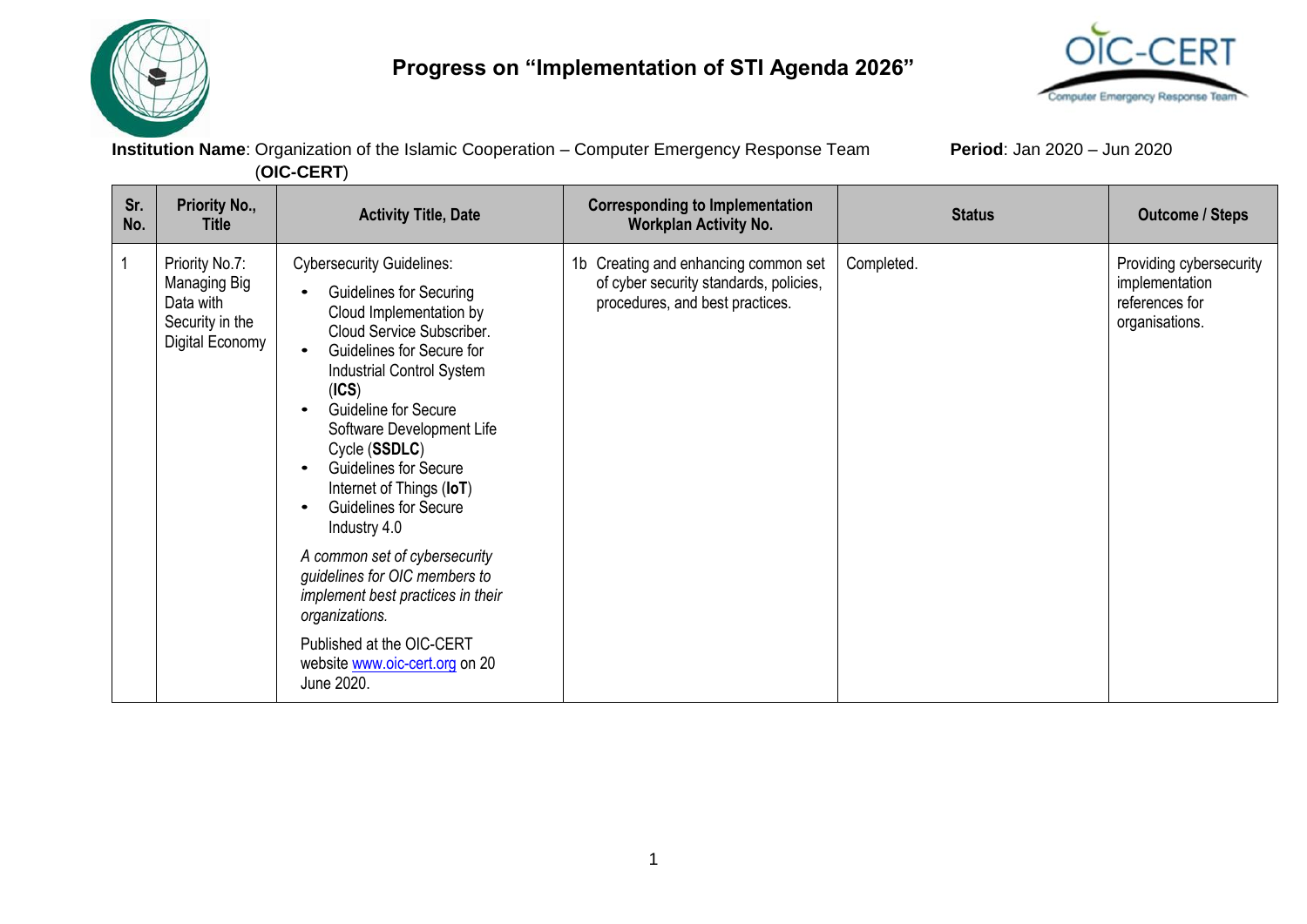

## **Progress on "Implementation of STI Agenda 2026"**



**Institution Name**: Organization of the Islamic Cooperation – Computer Emergency Response Team **Period**: Jan 2020 – Jun 2020 (**OIC-CERT**)

| Sr.<br>No. | Priority No.,<br><b>Title</b>                                                     | <b>Activity Title, Date</b>                                                                                                                                                                                                                                                                                                                                                                                                                                                                                                                                                                                                         | <b>Corresponding to Implementation</b><br><b>Workplan Activity No.</b>                                            | <b>Status</b> | <b>Outcome / Steps</b>                                                        |
|------------|-----------------------------------------------------------------------------------|-------------------------------------------------------------------------------------------------------------------------------------------------------------------------------------------------------------------------------------------------------------------------------------------------------------------------------------------------------------------------------------------------------------------------------------------------------------------------------------------------------------------------------------------------------------------------------------------------------------------------------------|-------------------------------------------------------------------------------------------------------------------|---------------|-------------------------------------------------------------------------------|
|            | Priority No.7:<br>Managing Big<br>Data with<br>Security in the<br>Digital Economy | <b>Cybersecurity Guidelines:</b><br><b>Guidelines for Securing</b><br>Cloud Implementation by<br>Cloud Service Subscriber.<br>Guidelines for Secure for<br>$\bullet$<br><b>Industrial Control System</b><br>(ICS)<br>Guideline for Secure<br>Software Development Life<br>Cycle (SSDLC)<br><b>Guidelines for Secure</b><br>$\bullet$<br>Internet of Things (IoT)<br><b>Guidelines for Secure</b><br>$\bullet$<br>Industry 4.0<br>A common set of cybersecurity<br>guidelines for OIC members to<br>implement best practices in their<br>organizations.<br>Published at the OIC-CERT<br>website www.oic-cert.org on 20<br>June 2020. | 1b Creating and enhancing common set<br>of cyber security standards, policies,<br>procedures, and best practices. | Completed.    | Providing cybersecurity<br>implementation<br>references for<br>organisations. |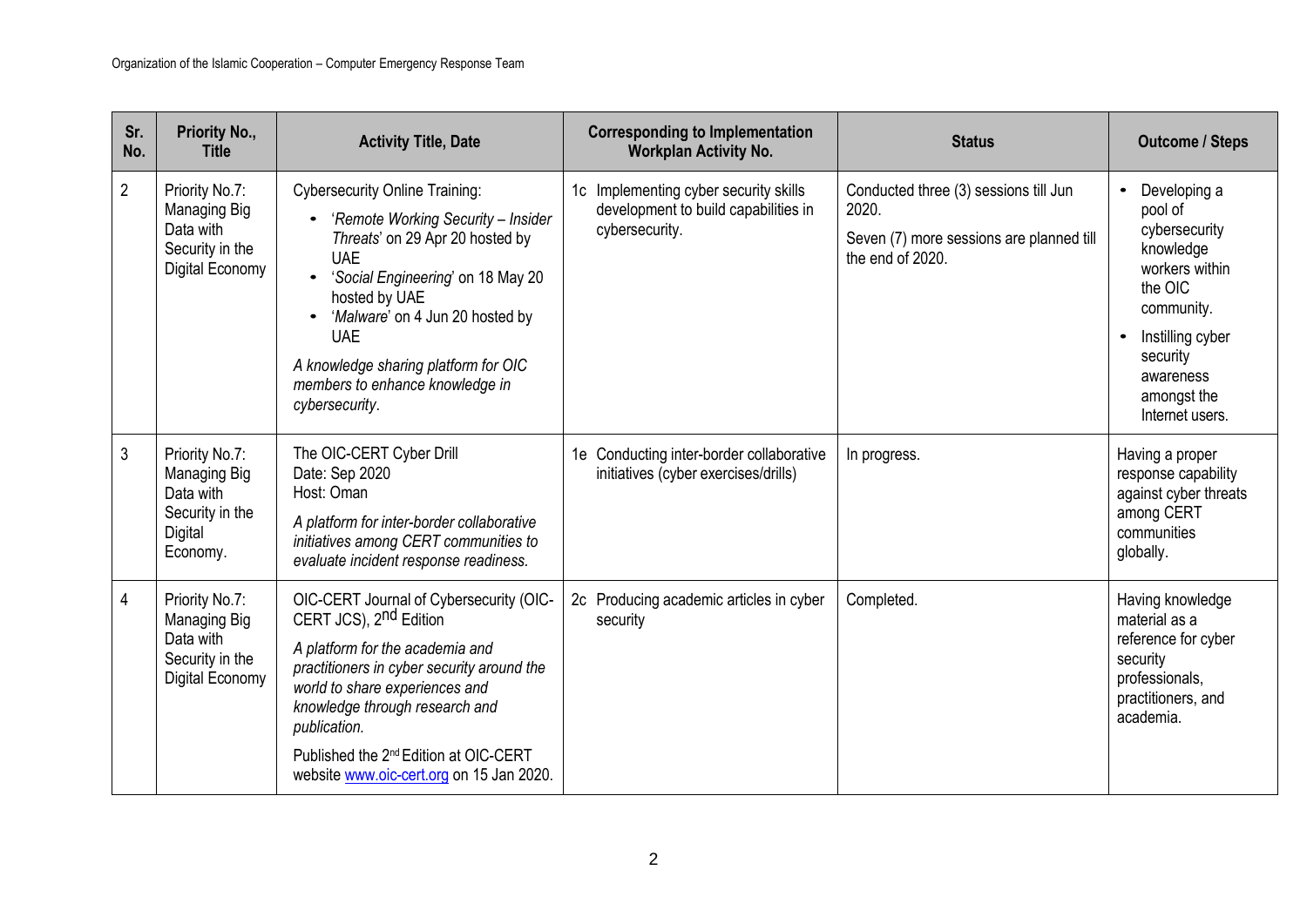| Sr.<br>No.     | Priority No.,<br><b>Title</b>                                                         | <b>Activity Title, Date</b>                                                                                                                                                                                                                                                                                                                         | <b>Corresponding to Implementation</b><br><b>Workplan Activity No.</b>                          | <b>Status</b>                                                                                                  | <b>Outcome / Steps</b>                                                                                                                                                          |
|----------------|---------------------------------------------------------------------------------------|-----------------------------------------------------------------------------------------------------------------------------------------------------------------------------------------------------------------------------------------------------------------------------------------------------------------------------------------------------|-------------------------------------------------------------------------------------------------|----------------------------------------------------------------------------------------------------------------|---------------------------------------------------------------------------------------------------------------------------------------------------------------------------------|
| $\overline{2}$ | Priority No.7:<br>Managing Big<br>Data with<br>Security in the<br>Digital Economy     | <b>Cybersecurity Online Training:</b><br>• 'Remote Working Security - Insider<br>Threats' on 29 Apr 20 hosted by<br><b>UAE</b><br>'Social Engineering' on 18 May 20<br>hosted by UAE<br>• 'Malware' on 4 Jun 20 hosted by<br><b>UAE</b><br>A knowledge sharing platform for OIC<br>members to enhance knowledge in<br>cybersecurity.                | 1c Implementing cyber security skills<br>development to build capabilities in<br>cybersecurity. | Conducted three (3) sessions till Jun<br>2020.<br>Seven (7) more sessions are planned till<br>the end of 2020. | Developing a<br>pool of<br>cybersecurity<br>knowledge<br>workers within<br>the OIC<br>community.<br>Instilling cyber<br>security<br>awareness<br>amongst the<br>Internet users. |
| 3              | Priority No.7:<br>Managing Big<br>Data with<br>Security in the<br>Digital<br>Economy. | The OIC-CERT Cyber Drill<br>Date: Sep 2020<br>Host: Oman<br>A platform for inter-border collaborative<br>initiatives among CERT communities to<br>evaluate incident response readiness.                                                                                                                                                             | 1e Conducting inter-border collaborative<br>initiatives (cyber exercises/drills)                | In progress.                                                                                                   | Having a proper<br>response capability<br>against cyber threats<br>among CERT<br>communities<br>globally.                                                                       |
| 4              | Priority No.7:<br>Managing Big<br>Data with<br>Security in the<br>Digital Economy     | OIC-CERT Journal of Cybersecurity (OIC-<br>CERT JCS), 2 <sup>nd</sup> Edition<br>A platform for the academia and<br>practitioners in cyber security around the<br>world to share experiences and<br>knowledge through research and<br>publication.<br>Published the 2 <sup>nd</sup> Edition at OIC-CERT<br>website www.oic-cert.org on 15 Jan 2020. | 2c Producing academic articles in cyber<br>security                                             | Completed.                                                                                                     | Having knowledge<br>material as a<br>reference for cyber<br>security<br>professionals,<br>practitioners, and<br>academia.                                                       |